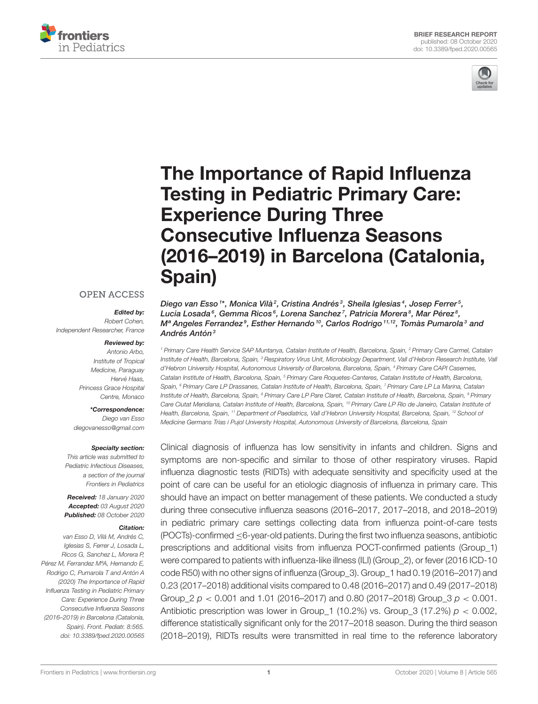



# The Importance of Rapid Influenza Testing in Pediatric Primary Care: Experience During Three Consecutive Influenza Seasons [\(2016–2019\) in Barcelona \(Catalonia,](https://www.frontiersin.org/articles/10.3389/fped.2020.00565/full) Spain)

#### Diego van Esso 1\*, Monica Vilà<sup>2</sup>, Cristina Andrés<sup>3</sup>, Sheila Iglesias<sup>4</sup>, Josep Ferrer<sup>5</sup>, Lucia Losada<sup>6</sup>, Gemma Ricos<sup>6</sup>, Lorena Sanchez<sup>7</sup>, Patricia Morera<sup>8</sup>, Mar Pérez<sup>8</sup>, Mª Angeles Ferrandez $^9$ , Esther Hernando  $^{10}$ , Carlos Rodrigo  $^{11,12}$ , Tomàs Pumarola $^3$  and Andrés Antón<sup>3</sup>

<sup>1</sup> Primary Care Health Service SAP Muntanya, Catalan Institute of Health, Barcelona, Spain, <sup>2</sup> Primary Care Carmel, Catalan Institute of Health, Barcelona, Spain, <sup>3</sup> Respiratory Virus Unit, Microbiology Department, Vall d'Hebron Research Institute, Vall d'Hebron University Hospital, Autonomous University of Barcelona, Barcelona, Spain, <sup>4</sup> Primary Care CAPI Casernes, Catalan Institute of Health, Barcelona, Spain, <sup>5</sup> Primary Care Roquetes-Canteres, Catalan Institute of Health, Barcelona, Spain, <sup>6</sup> Primary Care LP Drassanes, Catalan Institute of Health, Barcelona, Spain, <sup>7</sup> Primary Care LP La Marina, Catalan Institute of Health, Barcelona, Spain, <sup>8</sup> Primary Care LP Pare Claret, Catalan Institute of Health, Barcelona, Spain, <sup>9</sup> Primary Care Ciutat Meridiana, Catalan Institute of Health, Barcelona, Spain, <sup>10</sup> Primary Care LP Rio de Janeiro, Catalan Institute of Health, Barcelona, Spain, <sup>11</sup> Department of Paediatrics, Vall d'Hebron University Hospital, Barcelona, Spain, <sup>12</sup> School of Medicine Germans Trias i Pujol University Hospital, Autonomous University of Barcelona, Barcelona, Spain

Clinical diagnosis of influenza has low sensitivity in infants and children. Signs and symptoms are non-specific and similar to those of other respiratory viruses. Rapid influenza diagnostic tests (RIDTs) with adequate sensitivity and specificity used at the point of care can be useful for an etiologic diagnosis of influenza in primary care. This should have an impact on better management of these patients. We conducted a study during three consecutive influenza seasons (2016–2017, 2017–2018, and 2018–2019) in pediatric primary care settings collecting data from influenza point-of-care tests (POCTs)-confirmed ≤6-year-old patients. During the first two influenza seasons, antibiotic prescriptions and additional visits from influenza POCT-confirmed patients (Group\_1) were compared to patients with influenza-like illness (ILI) (Group\_2), or fever (2016 ICD-10 code R50) with no other signs of influenza (Group\_3). Group\_1 had 0.19 (2016–2017) and 0.23 (2017–2018) additional visits compared to 0.48 (2016–2017) and 0.49 (2017–2018) Group  $2 p < 0.001$  and 1.01 (2016–2017) and 0.80 (2017–2018) Group  $3 p < 0.001$ . Antibiotic prescription was lower in Group\_1 (10.2%) vs. Group\_3 (17.2%)  $p < 0.002$ , difference statistically significant only for the 2017–2018 season. During the third season (2018–2019), RIDTs results were transmitted in real time to the reference laboratory

### **OPEN ACCESS**

### Edited by:

Robert Cohen, Independent Researcher, France

#### Reviewed by:

Antonio Arbo, Institute of Tropical Medicine, Paraguay Hervé Haas, Princess Grace Hospital Centre, Monaco

\*Correspondence: Diego van Esso [diegovanesso@gmail.com](mailto:diegovanesso@gmail.com)

#### Specialty section:

This article was submitted to Pediatric Infectious Diseases, a section of the journal Frontiers in Pediatrics

Received: 18 January 2020 Accepted: 03 August 2020 Published: 08 October 2020

#### Citation:

van Esso D, Vilá M, Andrés C, Iglesias S, Ferrer J, Losada L, Ricos G, Sanchez L, Morera P, Pérez M, Ferrandez MªA, Hernando E, Rodrigo C, Pumarola T and Antón A (2020) The Importance of Rapid Influenza Testing in Pediatric Primary Care: Experience During Three Consecutive Influenza Seasons (2016–2019) in Barcelona (Catalonia, Spain). Front. Pediatr. 8:565. doi: [10.3389/fped.2020.00565](https://doi.org/10.3389/fped.2020.00565)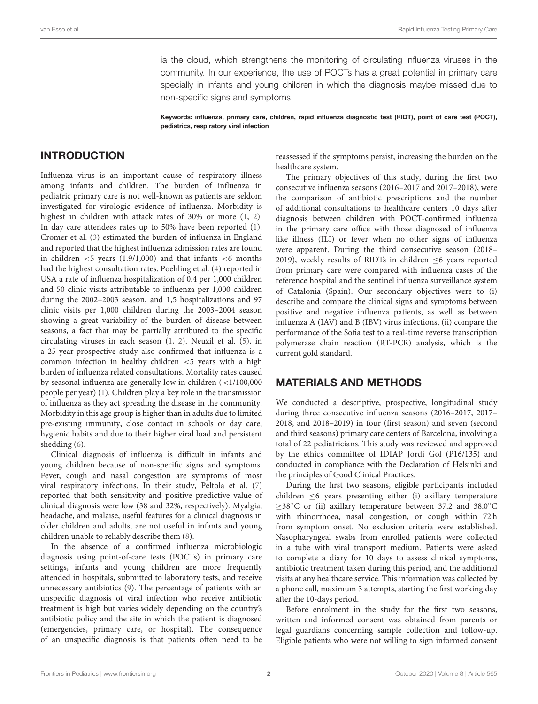ia the cloud, which strengthens the monitoring of circulating influenza viruses in the community. In our experience, the use of POCTs has a great potential in primary care specially in infants and young children in which the diagnosis maybe missed due to non-specific signs and symptoms.

Keywords: influenza, primary care, children, rapid influenza diagnostic test (RIDT), point of care test (POCT), pediatrics, respiratory viral infection

### INTRODUCTION

Influenza virus is an important cause of respiratory illness among infants and children. The burden of influenza in pediatric primary care is not well-known as patients are seldom investigated for virologic evidence of influenza. Morbidity is highest in children with attack rates of 30% or more [\(1,](#page-6-0) [2\)](#page-6-1). In day care attendees rates up to 50% have been reported [\(1\)](#page-6-0). Cromer et al. [\(3\)](#page-6-2) estimated the burden of influenza in England and reported that the highest influenza admission rates are found in children  $\lt$  5 years (1.9/1,000) and that infants  $\lt$  6 months had the highest consultation rates. Poehling et al. [\(4\)](#page-6-3) reported in USA a rate of influenza hospitalization of 0.4 per 1,000 children and 50 clinic visits attributable to influenza per 1,000 children during the 2002–2003 season, and 1,5 hospitalizations and 97 clinic visits per 1,000 children during the 2003–2004 season showing a great variability of the burden of disease between seasons, a fact that may be partially attributed to the specific circulating viruses in each season [\(1,](#page-6-0) [2\)](#page-6-1). Neuzil et al. [\(5\)](#page-6-4), in a 25-year-prospective study also confirmed that influenza is a common infection in healthy children <5 years with a high burden of influenza related consultations. Mortality rates caused by seasonal influenza are generally low in children (<1/100,000 people per year) [\(1\)](#page-6-0). Children play a key role in the transmission of influenza as they act spreading the disease in the community. Morbidity in this age group is higher than in adults due to limited pre-existing immunity, close contact in schools or day care, hygienic habits and due to their higher viral load and persistent shedding [\(6\)](#page-6-5).

Clinical diagnosis of influenza is difficult in infants and young children because of non-specific signs and symptoms. Fever, cough and nasal congestion are symptoms of most viral respiratory infections. In their study, Peltola et al. [\(7\)](#page-6-6) reported that both sensitivity and positive predictive value of clinical diagnosis were low (38 and 32%, respectively). Myalgia, headache, and malaise, useful features for a clinical diagnosis in older children and adults, are not useful in infants and young children unable to reliably describe them [\(8\)](#page-6-7).

In the absence of a confirmed influenza microbiologic diagnosis using point-of-care tests (POCTs) in primary care settings, infants and young children are more frequently attended in hospitals, submitted to laboratory tests, and receive unnecessary antibiotics [\(9\)](#page-6-8). The percentage of patients with an unspecific diagnosis of viral infection who receive antibiotic treatment is high but varies widely depending on the country's antibiotic policy and the site in which the patient is diagnosed (emergencies, primary care, or hospital). The consequence of an unspecific diagnosis is that patients often need to be reassessed if the symptoms persist, increasing the burden on the healthcare system.

The primary objectives of this study, during the first two consecutive influenza seasons (2016–2017 and 2017–2018), were the comparison of antibiotic prescriptions and the number of additional consultations to healthcare centers 10 days after diagnosis between children with POCT-confirmed influenza in the primary care office with those diagnosed of influenza like illness (ILI) or fever when no other signs of influenza were apparent. During the third consecutive season (2018– 2019), weekly results of RIDTs in children  $\leq 6$  years reported from primary care were compared with influenza cases of the reference hospital and the sentinel influenza surveillance system of Catalonia (Spain). Our secondary objectives were to (i) describe and compare the clinical signs and symptoms between positive and negative influenza patients, as well as between influenza A (IAV) and B (IBV) virus infections, (ii) compare the performance of the Sofia test to a real-time reverse transcription polymerase chain reaction (RT-PCR) analysis, which is the current gold standard.

### MATERIALS AND METHODS

We conducted a descriptive, prospective, longitudinal study during three consecutive influenza seasons (2016–2017, 2017– 2018, and 2018–2019) in four (first season) and seven (second and third seasons) primary care centers of Barcelona, involving a total of 22 pediatricians. This study was reviewed and approved by the ethics committee of IDIAP Jordi Gol (P16/135) and conducted in compliance with the Declaration of Helsinki and the principles of Good Clinical Practices.

During the first two seasons, eligible participants included children ≤6 years presenting either (i) axillary temperature ≥38◦C or (ii) axillary temperature between 37.2 and 38.0◦C with rhinorrhoea, nasal congestion, or cough within 72 h from symptom onset. No exclusion criteria were established. Nasopharyngeal swabs from enrolled patients were collected in a tube with viral transport medium. Patients were asked to complete a diary for 10 days to assess clinical symptoms, antibiotic treatment taken during this period, and the additional visits at any healthcare service. This information was collected by a phone call, maximum 3 attempts, starting the first working day after the 10-days period.

Before enrolment in the study for the first two seasons, written and informed consent was obtained from parents or legal guardians concerning sample collection and follow-up. Eligible patients who were not willing to sign informed consent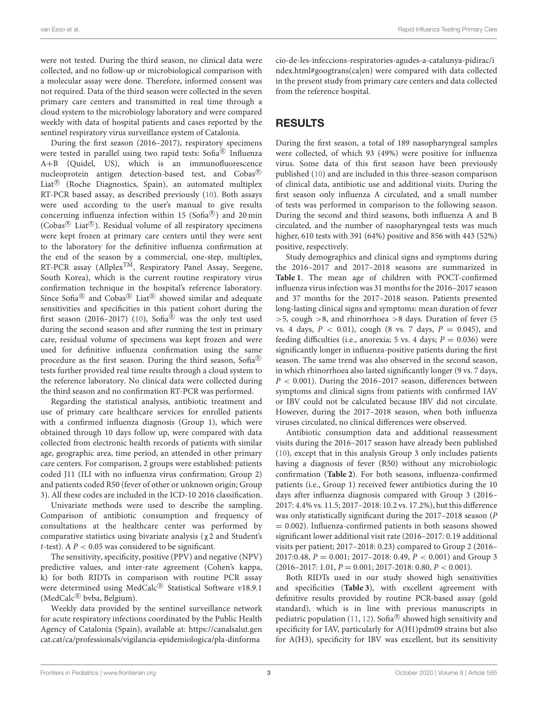were not tested. During the third season, no clinical data were collected, and no follow-up or microbiological comparison with a molecular assay were done. Therefore, informed consent was not required. Data of the third season were collected in the seven primary care centers and transmitted in real time through a cloud system to the microbiology laboratory and were compared weekly with data of hospital patients and cases reported by the sentinel respiratory virus surveillance system of Catalonia.

During the first season (2016–2017), respiratory specimens were tested in parallel using two rapid tests: Sofia® Influenza A+B (Quidel, US), which is an immunofluorescence nucleoprotein antigen detection-based test, and Cobas <sup>R</sup> Liat<sup>®</sup> (Roche Diagnostics, Spain), an automated multiplex RT-PCR based assay, as described previously [\(10\)](#page-6-9). Both assays were used according to the user's manual to give results concerning influenza infection within 15 (Sofia®) and 20 min (Cobas<sup>®</sup> Liat®). Residual volume of all respiratory specimens were kept frozen at primary care centers until they were sent to the laboratory for the definitive influenza confirmation at the end of the season by a commercial, one-step, multiplex, RT-PCR assay (Allplex<sup>TM</sup>, Respiratory Panel Assay, Seegene, South Korea), which is the current routine respiratory virus confirmation technique in the hospital's reference laboratory. Since Sofia $^{\circledR}$  and Cobas $^{\circledR}$  Liat $^{\circledR}$  showed similar and adequate sensitivities and specificities in this patient cohort during the first season (2016–2017) [\(10\)](#page-6-9), Sofia $\mathcal{B}$  was the only test used during the second season and after running the test in primary care, residual volume of specimens was kept frozen and were used for definitive influenza confirmation using the same procedure as the first season. During the third season, Sofia® tests further provided real time results through a cloud system to the reference laboratory. No clinical data were collected during the third season and no confirmation RT-PCR was performed.

Regarding the statistical analysis, antibiotic treatment and use of primary care healthcare services for enrolled patients with a confirmed influenza diagnosis (Group 1), which were obtained through 10 days follow up, were compared with data collected from electronic health records of patients with similar age, geographic area, time period, an attended in other primary care centers. For comparison, 2 groups were established: patients coded J11 (ILI with no influenza virus confirmation; Group 2) and patients coded R50 (fever of other or unknown origin; Group 3). All these codes are included in the ICD-10 2016 classification.

Univariate methods were used to describe the sampling. Comparison of antibiotic consumption and frequency of consultations at the healthcare center was performed by comparative statistics using bivariate analysis (χ2 and Student's t-test). A  $P < 0.05$  was considered to be significant.

The sensitivity, specificity, positive (PPV) and negative (NPV) predictive values, and inter-rate agreement (Cohen's kappa, k) for both RIDTs in comparison with routine PCR assay were determined using MedCalc<sup>®</sup> Statistical Software v18.9.1 (MedCalc® bvba, Belgium).

Weekly data provided by the sentinel surveillance network for acute respiratory infections coordinated by the Public Health Agency of Catalonia (Spain), available at: [https://canalsalut.gen](https://canalsalut.gencat.cat/ca/professionals/vigilancia-epidemiologica/pla-dinformacio-de-les-infeccions-respiratories-agudes-a-catalunya-pidirac/index.html#googtrans(ca|en)) [cat.cat/ca/professionals/vigilancia-epidemiologica/pla-dinforma](https://canalsalut.gencat.cat/ca/professionals/vigilancia-epidemiologica/pla-dinformacio-de-les-infeccions-respiratories-agudes-a-catalunya-pidirac/index.html#googtrans(ca|en))

[cio-de-les-infeccions-respiratories-agudes-a-catalunya-pidirac/i](https://canalsalut.gencat.cat/ca/professionals/vigilancia-epidemiologica/pla-dinformacio-de-les-infeccions-respiratories-agudes-a-catalunya-pidirac/index.html#googtrans(ca|en)) [ndex.html#googtrans\(ca|en\)](https://canalsalut.gencat.cat/ca/professionals/vigilancia-epidemiologica/pla-dinformacio-de-les-infeccions-respiratories-agudes-a-catalunya-pidirac/index.html#googtrans(ca|en)) were compared with data collected in the present study from primary care centers and data collected from the reference hospital.

# RESULTS

During the first season, a total of 189 nasopharyngeal samples were collected, of which 93 (49%) were positive for influenza virus. Some data of this first season have been previously published [\(10\)](#page-6-9) and are included in this three-season comparison of clinical data, antibiotic use and additional visits. During the first season only influenza A circulated, and a small number of tests was performed in comparison to the following season. During the second and third seasons, both influenza A and B circulated, and the number of nasopharyngeal tests was much higher, 610 tests with 391 (64%) positive and 856 with 443 (52%) positive, respectively.

Study demographics and clinical signs and symptoms during the 2016–2017 and 2017–2018 seasons are summarized in **[Table 1](#page-3-0)**. The mean age of children with POCT-confirmed influenza virus infection was 31 months for the 2016–2017 season and 37 months for the 2017–2018 season. Patients presented long-lasting clinical signs and symptoms: mean duration of fever  $>$  5, cough  $>$  8, and rhinorrhoea  $>$  8 days. Duration of fever (5) vs. 4 days,  $P < 0.01$ ), cough (8 vs. 7 days,  $P = 0.045$ ), and feeding difficulties (i.e., anorexia; 5 vs. 4 days;  $P = 0.036$ ) were significantly longer in influenza-positive patients during the first season. The same trend was also observed in the second season, in which rhinorrhoea also lasted significantly longer (9 vs. 7 days,  $P < 0.001$ ). During the 2016–2017 season, differences between symptoms and clinical signs from patients with confirmed IAV or IBV could not be calculated because IBV did not circulate. However, during the 2017–2018 season, when both influenza viruses circulated, no clinical differences were observed.

Antibiotic consumption data and additional reassessment visits during the 2016–2017 season have already been published [\(10\)](#page-6-9), except that in this analysis Group 3 only includes patients having a diagnosis of fever (R50) without any microbiologic confirmation (**[Table 2](#page-4-0)**). For both seasons, influenza-confirmed patients (i.e., Group 1) received fewer antibiotics during the 10 days after influenza diagnosis compared with Group 3 (2016– 2017: 4.4% vs. 11.5; 2017–2018: 10.2 vs. 17.2%), but this difference was only statistically significant during the 2017–2018 season (P  $= 0.002$ ). Influenza-confirmed patients in both seasons showed significant lower additional visit rate (2016–2017: 0.19 additional visits per patient; 2017–2018: 0.23) compared to Group 2 (2016– 2017:0.48,  $P = 0.001$ ; 2017-2018: 0.49,  $P < 0.001$ ) and Group 3  $(2016-2017: 1.01, P = 0.001; 2017-2018: 0.80, P < 0.001).$ 

Both RIDTs used in our study showed high sensitivities and specificities (**[Table 3](#page-4-1)**), with excellent agreement with definitive results provided by routine PCR-based assay (gold standard), which is in line with previous manuscripts in pediatric population [\(11,](#page-6-10) [12\)](#page-6-11). Sofia $^{\circledR}$  showed high sensitivity and specificity for IAV, particularly for A(H1)pdm09 strains but also for A(H3), specificity for IBV was excellent, but its sensitivity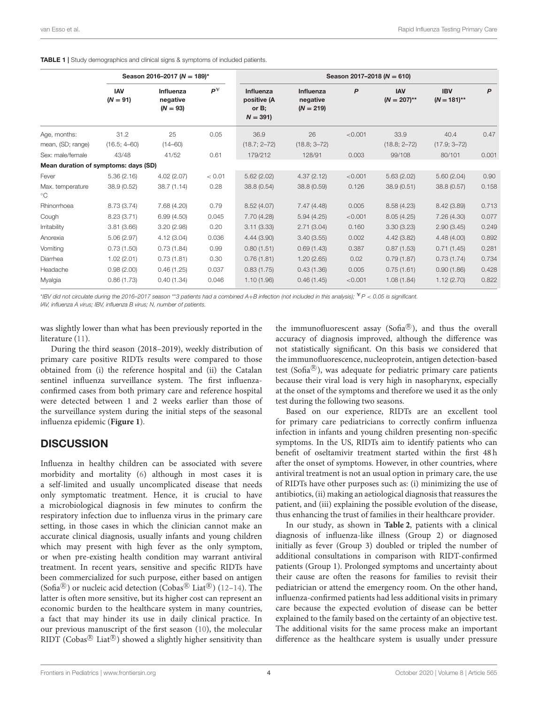<span id="page-3-0"></span>TABLE 1 | Study demographics and clinical signs & symptoms of included patients.

|                                      | Season 2016-2017 ( $N = 189$ )* |                                     |        | Season 2017-2018 ( $N = 610$ )                    |                                      |         |                              |                                |       |
|--------------------------------------|---------------------------------|-------------------------------------|--------|---------------------------------------------------|--------------------------------------|---------|------------------------------|--------------------------------|-------|
|                                      | IAV<br>$(N = 91)$               | Influenza<br>negative<br>$(N = 93)$ | Ρ¥     | Influenza<br>positive (A<br>or $B$ ;<br>$N = 391$ | Influenza<br>negative<br>$(N = 219)$ | P       | <b>IAV</b><br>$(N = 207)$ ** | <b>IBV</b><br>$(N = 181)^{**}$ | P     |
| Age, months:<br>mean, (SD; range)    | 31.2<br>(16.5; 4–60)            | 25<br>$(14 - 60)$                   | 0.05   | 36.9<br>$(18.7; 2 - 72)$                          | 26<br>$(18.8; 3 - 72)$               | < 0.001 | 33.9<br>$(18.8; 2 - 72)$     | 40.4<br>$(17.9; 3 - 72)$       | 0.47  |
| Sex: male/female                     | 43/48                           | 41/52                               | 0.61   | 179/212                                           | 128/91                               | 0.003   | 99/108                       | 80/101                         | 0.001 |
| Mean duration of symptoms: days (SD) |                                 |                                     |        |                                                   |                                      |         |                              |                                |       |
| Fever                                | 5.36(2.16)                      | 4.02(2.07)                          | < 0.01 | 5.62(2.02)                                        | 4.37(2.12)                           | < 0.001 | 5.63(2.02)                   | 5.60(2.04)                     | 0.90  |
| Max. temperature<br>$^{\circ}$ C     | 38.9 (0.52)                     | 38.7 (1.14)                         | 0.28   | 38.8 (0.54)                                       | 38.8 (0.59)                          | 0.126   | 38.9 (0.51)                  | 38.8 (0.57)                    | 0.158 |
| Rhinorrhoea                          | 8.73 (3.74)                     | 7.68 (4.20)                         | 0.79   | 8.52(4.07)                                        | 7.47(4.48)                           | 0.005   | 8.58(4.23)                   | 8.42(3.89)                     | 0.713 |
| Cough                                | 8.23(3.71)                      | 6.99(4.50)                          | 0.045  | 7.70(4.28)                                        | 5.94(4.25)                           | < 0.001 | 8.05(4.25)                   | 7.26(4.30)                     | 0.077 |
| Irritability                         | 3.81(3.66)                      | 3.20(2.98)                          | 0.20   | 3.11(3.33)                                        | 2.71(3.04)                           | 0.160   | 3.30(3.23)                   | 2.90(3.45)                     | 0.249 |
| Anorexia                             | 5.06(2.97)                      | 4.12(3.04)                          | 0.036  | 4.44(3.90)                                        | 3.40(3.55)                           | 0.002   | 4.42(3.82)                   | 4.48(4.00)                     | 0.892 |
| Vomiting                             | 0.73(1.50)                      | 0.73(1.84)                          | 0.99   | 0.80(1.51)                                        | 0.69(1.43)                           | 0.387   | 0.87(1.53)                   | 0.71(1.45)                     | 0.281 |
| Diarrhea                             | 1.02(2.01)                      | 0.73(1.81)                          | 0.30   | 0.76(1.81)                                        | 1.20(2.65)                           | 0.02    | 0.79(1.87)                   | 0.73(1.74)                     | 0.734 |
| Headache                             | 0.98(2.00)                      | 0.46(1.25)                          | 0.037  | 0.83(1.75)                                        | 0.43(1.36)                           | 0.005   | 0.75(1.61)                   | 0.90(1.86)                     | 0.428 |
| Myalgia                              | 0.86(1.73)                      | 0.40(1.34)                          | 0.046  | 1.10(1.96)                                        | 0.46(1.45)                           | < 0.001 | 1.08(1.84)                   | 1.12(2.70)                     | 0.822 |

\*IBV did not circulate during the 2016–2017 season \*\*3 patients had a combined A+B infection (not included in this analysis);  $*P < 0.05$  is significant. IAV, influenza A virus; IBV, influenza B virus; N, number of patients.

was slightly lower than what has been previously reported in the literature [\(11\)](#page-6-10).

During the third season (2018–2019), weekly distribution of primary care positive RIDTs results were compared to those obtained from (i) the reference hospital and (ii) the Catalan sentinel influenza surveillance system. The first influenzaconfirmed cases from both primary care and reference hospital were detected between 1 and 2 weeks earlier than those of the surveillance system during the initial steps of the seasonal influenza epidemic (**[Figure 1](#page-5-0)**).

### **DISCUSSION**

Influenza in healthy children can be associated with severe morbidity and mortality [\(6\)](#page-6-5) although in most cases it is a self-limited and usually uncomplicated disease that needs only symptomatic treatment. Hence, it is crucial to have a microbiological diagnosis in few minutes to confirm the respiratory infection due to influenza virus in the primary care setting, in those cases in which the clinician cannot make an accurate clinical diagnosis, usually infants and young children which may present with high fever as the only symptom, or when pre-existing health condition may warrant antiviral treatment. In recent years, sensitive and specific RIDTs have been commercialized for such purpose, either based on antigen (Sofia<sup>®</sup>) or nucleic acid detection (Cobas<sup>®</sup> Liat<sup>®</sup>) [\(12](#page-6-11)-14). The latter is often more sensitive, but its higher cost can represent an economic burden to the healthcare system in many countries, a fact that may hinder its use in daily clinical practice. In our previous manuscript of the first season [\(10\)](#page-6-9), the molecular RIDT (Cobas $^{\circledR}$  Liat $^{\circledR}$ ) showed a slightly higher sensitivity than

the immunofluorescent assay (Sofia®), and thus the overall accuracy of diagnosis improved, although the difference was not statistically significant. On this basis we considered that the immunofluorescence, nucleoprotein, antigen detection-based test (Sofia<sup>®</sup>), was adequate for pediatric primary care patients because their viral load is very high in nasopharynx, especially at the onset of the symptoms and therefore we used it as the only test during the following two seasons.

Based on our experience, RIDTs are an excellent tool for primary care pediatricians to correctly confirm influenza infection in infants and young children presenting non-specific symptoms. In the US, RIDTs aim to identify patients who can benefit of oseltamivir treatment started within the first 48 h after the onset of symptoms. However, in other countries, where antiviral treatment is not an usual option in primary care, the use of RIDTs have other purposes such as: (i) minimizing the use of antibiotics, (ii) making an aetiological diagnosis that reassures the patient, and (iii) explaining the possible evolution of the disease, thus enhancing the trust of families in their healthcare provider.

In our study, as shown in **[Table 2](#page-4-0)**, patients with a clinical diagnosis of influenza-like illness (Group 2) or diagnosed initially as fever (Group 3) doubled or tripled the number of additional consultations in comparison with RIDT-confirmed patients (Group 1). Prolonged symptoms and uncertainty about their cause are often the reasons for families to revisit their pediatrician or attend the emergency room. On the other hand, influenza-confirmed patients had less additional visits in primary care because the expected evolution of disease can be better explained to the family based on the certainty of an objective test. The additional visits for the same process make an important difference as the healthcare system is usually under pressure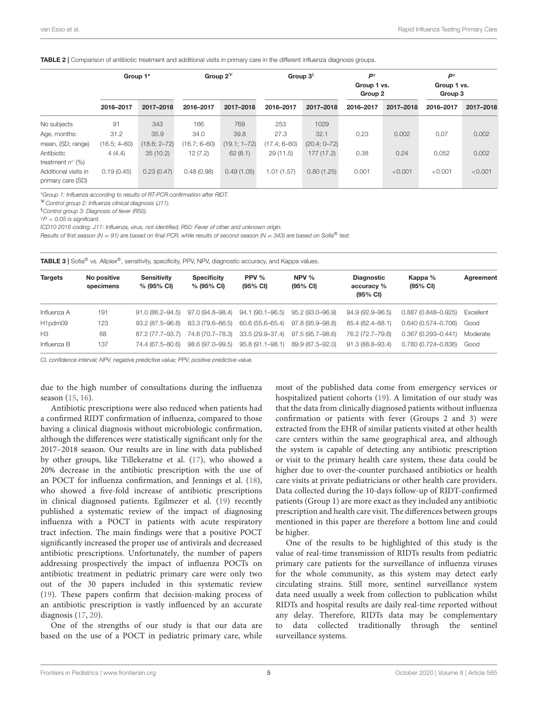#### <span id="page-4-0"></span>TABLE 2 | Comparison of antibiotic treatment and additional visits in primary care in the different influenza diagnosis groups.

|                                           | Group 1*         |                  | Group $2^*$      |                  | Group $3§$       |                  | $P^{\gamma}$<br>Group 1 vs.<br>Group 2 |           | $P^{\gamma}$<br>Group 1 vs.<br>Group 3 |           |
|-------------------------------------------|------------------|------------------|------------------|------------------|------------------|------------------|----------------------------------------|-----------|----------------------------------------|-----------|
|                                           | 2016-2017        | 2017-2018        | 2016-2017        | 2017-2018        | 2016-2017        | 2017-2018        | 2016-2017                              | 2017-2018 | 2016-2017                              | 2017-2018 |
| No subjects                               | 91               | 343              | 166              | 769              | 253              | 1029             |                                        |           |                                        |           |
| Age, months:                              | 31.2             | 35.9             | 34.0             | 39.8             | 27.3             | 32.1             | 0.23                                   | 0.002     | 0.07                                   | 0.002     |
| mean, (SD; range)                         | $(16.5; 4 - 60)$ | $(18.6; 2 - 72)$ | $(16.7; 6 - 60)$ | $(19.1; 1 - 72)$ | $(17.4; 6 - 60)$ | $(20.4; 0 - 72)$ |                                        |           |                                        |           |
| Antibiotic<br>treatment $n^{\circ}$ (%)   | 4(4.4)           | 35(10.2)         | 12(7.2)          | 62(8.1)          | 29(11.5)         | 177(17.2)        | 0.38                                   | 0.24      | 0.052                                  | 0.002     |
| Additional visits in<br>primary care (SD) | 0.19(0.45)       | 0.23(0.47)       | 0.48(0.98)       | 0.49(1.05)       | 1.01(1.57)       | 0.80(1.25)       | 0.001                                  | < 0.001   | < 0.001                                | < 0.001   |

\*Group 1: Influenza according to results of RT-PCR confirmation after RIDT.

 $*$  Control group 2: Influenza clinical diagnosis (J11).

§Control group 3: Diagnosis of fever (R50).

 $\gamma P < 0.05$  is significant.

ICD10 2016 coding: J11: Influenza, virus, not identified; R50: Fever of other and unknown origin.

Results of first season (N = 91) are based on final PCR, while results of second season (N = 343) are based on Sofia® test.

<span id="page-4-1"></span>

|  |  | TABLE 3   Sofia <sup>®</sup> vs. Allplex <sup>®</sup> , sensitivity, specificity, PPV, NPV, diagnostic accuracy, and Kappa values. |
|--|--|------------------------------------------------------------------------------------------------------------------------------------|
|--|--|------------------------------------------------------------------------------------------------------------------------------------|

| <b>Targets</b>      | No positive<br>specimens | <b>Sensitivity</b><br>% (95% CI) | <b>Specificity</b><br>% (95% CI) | PPV $%$<br>$(95\% \text{ Cl})$ | NPV $\%$<br>$(95\% \text{ Cl})$ | <b>Diagnostic</b><br>accuracy %<br>$(95\% \text{ Cl})$ | Kappa %<br>$(95% \text{ CI})$ | Agreement |
|---------------------|--------------------------|----------------------------------|----------------------------------|--------------------------------|---------------------------------|--------------------------------------------------------|-------------------------------|-----------|
| Influenza A         | 191                      | 91.0 (86.2–94.5)                 | 97.0 (94.8–98.4)                 | $94.1(90.1 - 96.5)$            | 95.2 (93.0–96.9)                | $94.9(92.9 - 96.5)$                                    | $0.887(0.848 - 0.925)$        | Excellent |
| H <sub>1pdm09</sub> | 123                      | 93.2 (87.5–96.8)                 | 83.3 (79.6–86.5)                 | 60.6 (55.6–65.4)               | 97.8 (95.9–98.8)                | 85.4 (82.4–88.1)                                       | 0.640 (0.574-0.706)           | Good      |
| H <sub>3</sub>      | 68                       | 87.2 (77.7–93.7)                 | 74.6 (70.7–78.3)                 | 33.5 (29.9–37.4)               | 97.5 (95.7-98.6)                | 76.2 (72.7-79.6)                                       | $0.367(0.293 - 0.441)$        | Moderate  |
| Influenza B         | 137                      | 74.4 (67.5–80.6)                 | 98.6 (97.0–99.5)                 | 95.8 (91.1-98.1)               | 89.9 (87.5-92.0)                | 91.3 (88.8-93.4)                                       | 0.780 (0.724-0.836)           | Good      |

CI, confidence interval; NPV, negative predictive value; PPV, positive predictive value.

due to the high number of consultations during the influenza season [\(15,](#page-6-13) [16\)](#page-6-14).

Antibiotic prescriptions were also reduced when patients had a confirmed RIDT confirmation of influenza, compared to those having a clinical diagnosis without microbiologic confirmation, although the differences were statistically significant only for the 2017–2018 season. Our results are in line with data published by other groups, like Tillekeratne et al. [\(17\)](#page-6-15), who showed a 20% decrease in the antibiotic prescription with the use of an POCT for influenza confirmation, and Jennings et al. [\(18\)](#page-6-16), who showed a five-fold increase of antibiotic prescriptions in clinical diagnosed patients. Egilmezer et al. [\(19\)](#page-6-17) recently published a systematic review of the impact of diagnosing influenza with a POCT in patients with acute respiratory tract infection. The main findings were that a positive POCT significantly increased the proper use of antivirals and decreased antibiotic prescriptions. Unfortunately, the number of papers addressing prospectively the impact of influenza POCTs on antibiotic treatment in pediatric primary care were only two out of the 30 papers included in this systematic review [\(19\)](#page-6-17). These papers confirm that decision-making process of an antibiotic prescription is vastly influenced by an accurate diagnosis [\(17,](#page-6-15) [20\)](#page-6-18).

One of the strengths of our study is that our data are based on the use of a POCT in pediatric primary care, while most of the published data come from emergency services or hospitalized patient cohorts [\(19\)](#page-6-17). A limitation of our study was that the data from clinically diagnosed patients without influenza confirmation or patients with fever (Groups 2 and 3) were extracted from the EHR of similar patients visited at other health care centers within the same geographical area, and although the system is capable of detecting any antibiotic prescription or visit to the primary health care system, these data could be higher due to over-the-counter purchased antibiotics or health care visits at private pediatricians or other health care providers. Data collected during the 10-days follow-up of RIDT-confirmed patients (Group 1) are more exact as they included any antibiotic prescription and health care visit. The differences between groups mentioned in this paper are therefore a bottom line and could be higher.

One of the results to be highlighted of this study is the value of real-time transmission of RIDTs results from pediatric primary care patients for the surveillance of influenza viruses for the whole community, as this system may detect early circulating strains. Still more, sentinel surveillance system data need usually a week from collection to publication whilst RIDTs and hospital results are daily real-time reported without any delay. Therefore, RIDTs data may be complementary to data collected traditionally through the sentinel surveillance systems.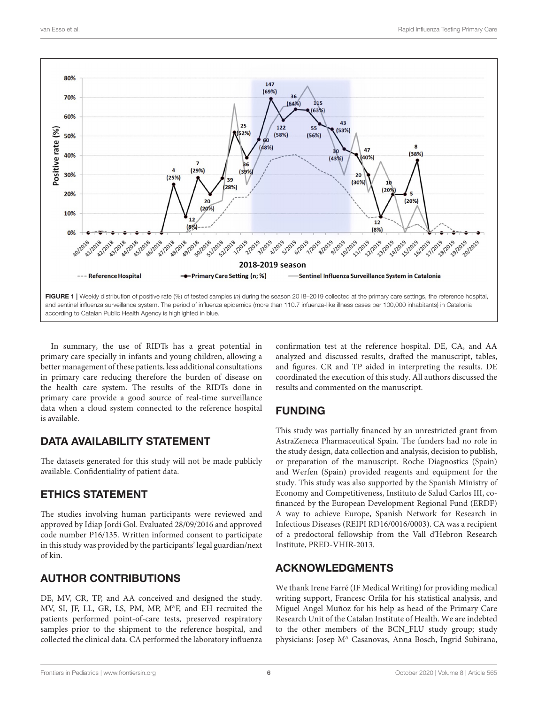

<span id="page-5-0"></span>In summary, the use of RIDTs has a great potential in primary care specially in infants and young children, allowing a better management of these patients, less additional consultations in primary care reducing therefore the burden of disease on the health care system. The results of the RIDTs done in primary care provide a good source of real-time surveillance data when a cloud system connected to the reference hospital is available.

## DATA AVAILABILITY STATEMENT

The datasets generated for this study will not be made publicly available. Confidentiality of patient data.

# ETHICS STATEMENT

The studies involving human participants were reviewed and approved by Idiap Jordi Gol. Evaluated 28/09/2016 and approved code number P16/135. Written informed consent to participate in this study was provided by the participants' legal guardian/next of kin.

# AUTHOR CONTRIBUTIONS

DE, MV, CR, TP, and AA conceived and designed the study. MV, SI, JF, LL, GR, LS, PM, MP, M<sup>a</sup>F, and EH recruited the patients performed point-of-care tests, preserved respiratory samples prior to the shipment to the reference hospital, and collected the clinical data. CA performed the laboratory influenza

confirmation test at the reference hospital. DE, CA, and AA analyzed and discussed results, drafted the manuscript, tables, and figures. CR and TP aided in interpreting the results. DE coordinated the execution of this study. All authors discussed the results and commented on the manuscript.

# FUNDING

This study was partially financed by an unrestricted grant from AstraZeneca Pharmaceutical Spain. The funders had no role in the study design, data collection and analysis, decision to publish, or preparation of the manuscript. Roche Diagnostics (Spain) and Werfen (Spain) provided reagents and equipment for the study. This study was also supported by the Spanish Ministry of Economy and Competitiveness, Instituto de Salud Carlos III, cofinanced by the European Development Regional Fund (ERDF) A way to achieve Europe, Spanish Network for Research in Infectious Diseases (REIPI RD16/0016/0003). CA was a recipient of a predoctoral fellowship from the Vall d'Hebron Research Institute, PRED-VHIR-2013.

# ACKNOWLEDGMENTS

We thank Irene Farré (IF Medical Writing) for providing medical writing support, Francesc Orfila for his statistical analysis, and Miguel Angel Muñoz for his help as head of the Primary Care Research Unit of the Catalan Institute of Health. We are indebted to the other members of the BCN\_FLU study group; study physicians: Josep M<sup>a</sup> Casanovas, Anna Bosch, Ingrid Subirana,